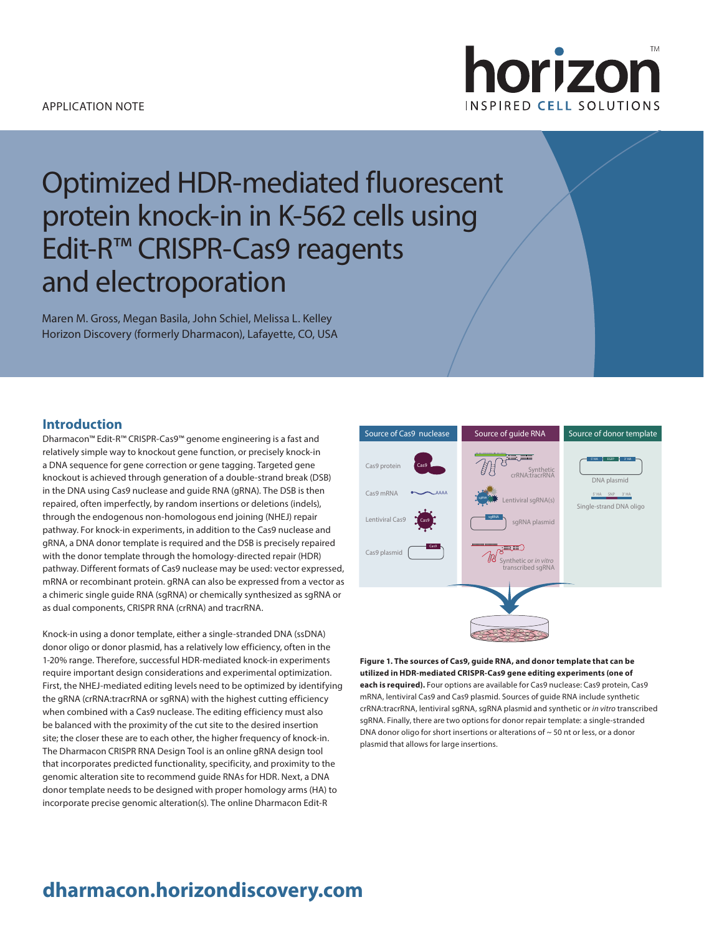### APPLICATION NOTE



# Optimized HDR-mediated fluorescent protein knock-in in K-562 cells using Edit-R™ CRISPR-Cas9 reagents and electroporation

Maren M. Gross, Megan Basila, John Schiel, Melissa L. Kelley Horizon Discovery (formerly Dharmacon), Lafayette, CO, USA

### **Introduction**

Dharmacon™ Edit-R™ CRISPR-Cas9™ genome engineering is a fast and relatively simple way to knockout gene function, or precisely knock-in a DNA sequence for gene correction or gene tagging. Targeted gene knockout is achieved through generation of a double-strand break (DSB) in the DNA using Cas9 nuclease and guide RNA (gRNA). The DSB is then repaired, often imperfectly, by random insertions or deletions (indels), through the endogenous non-homologous end joining (NHEJ) repair pathway. For knock-in experiments, in addition to the Cas9 nuclease and gRNA, a DNA donor template is required and the DSB is precisely repaired with the donor template through the homology-directed repair (HDR) pathway. Different formats of Cas9 nuclease may be used: vector expressed, mRNA or recombinant protein. gRNA can also be expressed from a vector as a chimeric single guide RNA (sgRNA) or chemically synthesized as sgRNA or as dual components, CRISPR RNA (crRNA) and tracrRNA.

Knock-in using a donor template, either a single-stranded DNA (ssDNA) donor oligo or donor plasmid, has a relatively low efficiency, often in the 1-20% range. Therefore, successful HDR-mediated knock-in experiments require important design considerations and experimental optimization. First, the NHEJ-mediated editing levels need to be optimized by identifying the gRNA (crRNA:tracrRNA or sgRNA) with the highest cutting efficiency when combined with a Cas9 nuclease. The editing efficiency must also be balanced with the proximity of the cut site to the desired insertion site; the closer these are to each other, the higher frequency of knock-in. The Dharmacon CRISPR RNA Design Tool is an online gRNA design tool that incorporates predicted functionality, specificity, and proximity to the genomic alteration site to recommend guide RNAs for HDR. Next, a DNA donor template needs to be designed with proper homology arms (HA) to incorporate precise genomic alteration(s). The online Dharmacon Edit-R



**Figure 1. The sources of Cas9, guide RNA, and donor template that can be utilized in HDR-mediated CRISPR-Cas9 gene editing experiments (one of each is required).** Four options are available for Cas9 nuclease: Cas9 protein, Cas9 mRNA, lentiviral Cas9 and Cas9 plasmid. Sources of guide RNA include synthetic crRNA:tracrRNA, lentiviral sgRNA, sgRNA plasmid and synthetic or *in vitro* transcribed sgRNA. Finally, there are two options for donor repair template: a single-stranded DNA donor oligo for short insertions or alterations of  $\sim$  50 nt or less, or a donor plasmid that allows for large insertions.

# **dharmacon.horizondiscovery.com**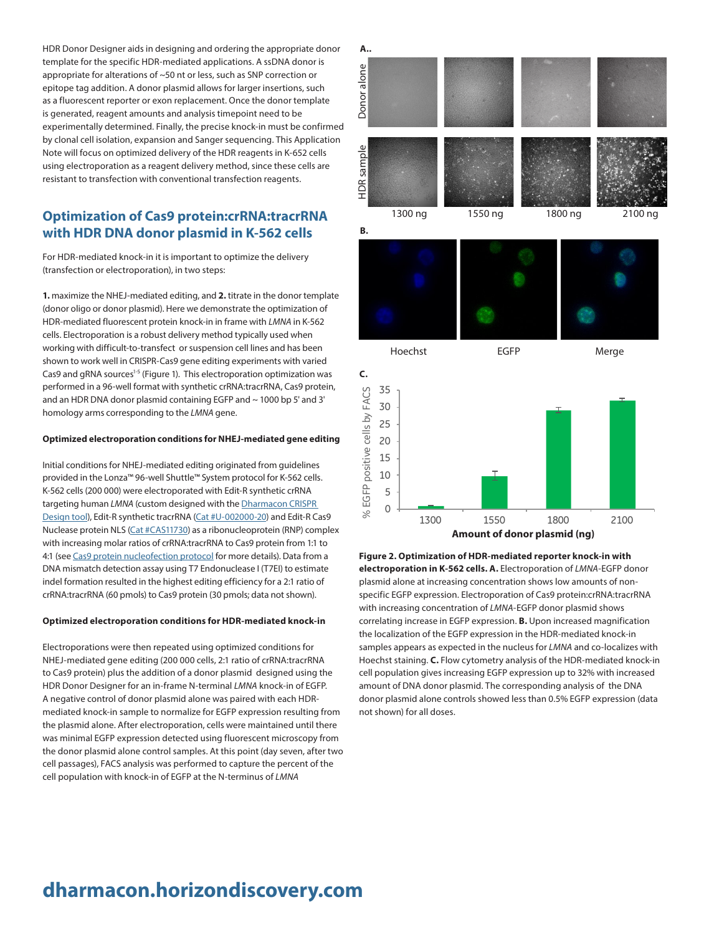HDR Donor Designer aids in designing and ordering the appropriate donor template for the specific HDR-mediated applications. A ssDNA donor is appropriate for alterations of ~50 nt or less, such as SNP correction or epitope tag addition. A donor plasmid allows for larger insertions, such as a fluorescent reporter or exon replacement. Once the donor template is generated, reagent amounts and analysis timepoint need to be experimentally determined. Finally, the precise knock-in must be confirmed by clonal cell isolation, expansion and Sanger sequencing. This Application Note will focus on optimized delivery of the HDR reagents in K-652 cells using electroporation as a reagent delivery method, since these cells are resistant to transfection with conventional transfection reagents.

# **Optimization of Cas9 protein:crRNA:tracrRNA with HDR DNA donor plasmid in K-562 cells**

For HDR-mediated knock-in it is important to optimize the delivery (transfection or electroporation), in two steps:

**1.** maximize the NHEJ-mediated editing, and **2.** titrate in the donor template (donor oligo or donor plasmid). Here we demonstrate the optimization of HDR-mediated fluorescent protein knock-in in frame with *LMNA* in K-562 cells. Electroporation is a robust delivery method typically used when working with difficult-to-transfect or suspension cell lines and has been shown to work well in CRISPR-Cas9 gene editing experiments with varied Cas9 and gRNA sources<sup>1-5</sup> (Figure 1). This electroporation optimization was performed in a 96-well format with synthetic crRNA:tracrRNA, Cas9 protein, and an HDR DNA donor plasmid containing EGFP and ~ 1000 bp 5' and 3' homology arms corresponding to the *LMNA* gene.

#### **Optimized electroporation conditions for NHEJ-mediated gene editing**

Initial conditions for NHEJ-mediated editing originated from guidelines provided in the Lonza™ 96-well Shuttle™ System protocol for K-562 cells. K-562 cells (200 000) were electroporated with Edit-R synthetic crRNA targeting human *LMNA* (custom designed with the [Dharmacon CRISPR](https://dharmacon.horizondiscovery.com/gene-editing/crispr-cas9/crispr-design-tool/)  [Design tool](https://dharmacon.horizondiscovery.com/gene-editing/crispr-cas9/crispr-design-tool/)), Edit-R synthetic tracrRNA ([Cat #U-002000-20](https://dharmacon.horizondiscovery.com/gene-editing/crispr-cas9/crispr-controls/edit-r-tracrrna/)) and Edit-R Cas9 Nuclease protein NLS [\(Cat #CAS11730\)](https://dharmacon.horizondiscovery.com/gene-editing/crispr-cas9/cas9-nuclease/edit-r-cas9-nuclease-protein-nls/) as a ribonucleoprotein (RNP) complex with increasing molar ratios of crRNA:tracrRNA to Cas9 protein from 1:1 to 4:1 (see [Cas9 protein nucleofection protocol](https://dharmacon.horizondiscovery.com/uploadedFiles/Resources/cas9-protein-nucleofection-protocol.pdf) for more details). Data from a DNA mismatch detection assay using T7 Endonuclease I (T7EI) to estimate indel formation resulted in the highest editing efficiency for a 2:1 ratio of crRNA:tracrRNA (60 pmols) to Cas9 protein (30 pmols; data not shown).

#### **Optimized electroporation conditions for HDR-mediated knock-in**

Electroporations were then repeated using optimized conditions for NHEJ-mediated gene editing (200 000 cells, 2:1 ratio of crRNA:tracrRNA to Cas9 protein) plus the addition of a donor plasmid designed using the HDR Donor Designer for an in-frame N-terminal *LMNA* knock-in of EGFP. A negative control of donor plasmid alone was paired with each HDRmediated knock-in sample to normalize for EGFP expression resulting from the plasmid alone. After electroporation, cells were maintained until there was minimal EGFP expression detected using fluorescent microscopy from the donor plasmid alone control samples. At this point (day seven, after two cell passages), FACS analysis was performed to capture the percent of the cell population with knock-in of EGFP at the N-terminus of *LMNA*







**Figure 2. Optimization of HDR-mediated reporter knock-in with electroporation in K-562 cells. A.** Electroporation of *LMNA*-EGFP donor plasmid alone at increasing concentration shows low amounts of nonspecific EGFP expression. Electroporation of Cas9 protein:crRNA:tracrRNA with increasing concentration of *LMNA*-EGFP donor plasmid shows correlating increase in EGFP expression. **B.** Upon increased magnification the localization of the EGFP expression in the HDR-mediated knock-in samples appears as expected in the nucleus for *LMNA* and co-localizes with Hoechst staining. **C.** Flow cytometry analysis of the HDR-mediated knock-in cell population gives increasing EGFP expression up to 32% with increased amount of DNA donor plasmid. The corresponding analysis of the DNA donor plasmid alone controls showed less than 0.5% EGFP expression (data not shown) for all doses.

# **dharmacon.horizondiscovery.com**